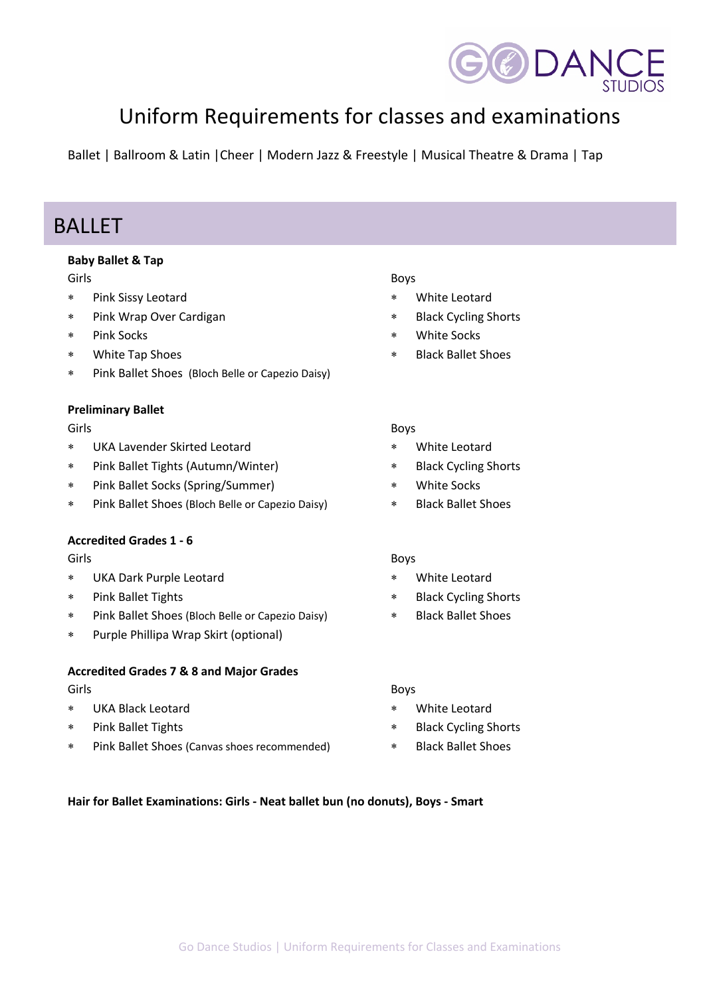

# Uniform Requirements for classes and examinations

Ballet | Ballroom & Latin |Cheer | Modern Jazz & Freestyle | Musical Theatre & Drama | Tap

### BALLET

### **Baby Ballet & Tap**

#### Girls

- \* Pink Sissy Leotard
- \* Pink Wrap Over Cardigan
- \* Pink Socks
- \* White Tap Shoes
- \* Pink Ballet Shoes (Bloch Belle or Capezio Daisy)

#### **Preliminary Ballet**

#### Girls

- \* UKA Lavender Skirted Leotard
- \* Pink Ballet Tights (Autumn/Winter)
- \* Pink Ballet Socks (Spring/Summer)
- \* Pink Ballet Shoes (Bloch Belle or Capezio Daisy)

### **Accredited Grades 1 - 6**

#### Girls

- \* UKA Dark Purple Leotard
- \* Pink Ballet Tights
- \* Pink Ballet Shoes (Bloch Belle or Capezio Daisy)
- \* Purple Phillipa Wrap Skirt (optional)

#### **Accredited Grades 7 & 8 and Major Grades**

#### Girls

- \* UKA Black Leotard
- \* Pink Ballet Tights
- \* Pink Ballet Shoes (Canvas shoes recommended)

#### Boys

- White Leotard
- **Black Cycling Shorts**
- **White Socks**
- **Black Ballet Shoes**

#### Boys

- \* White Leotard
- \* Black Cycling Shorts
- White Socks
- \* Black Ballet Shoes

#### Boys

- White Leotard
- **Black Cycling Shorts**
- \* Black Ballet Shoes

#### Boys

- \* White Leotard
- **Black Cycling Shorts**
- \* Black Ballet Shoes

#### **Hair for Ballet Examinations: Girls - Neat ballet bun (no donuts), Boys - Smart**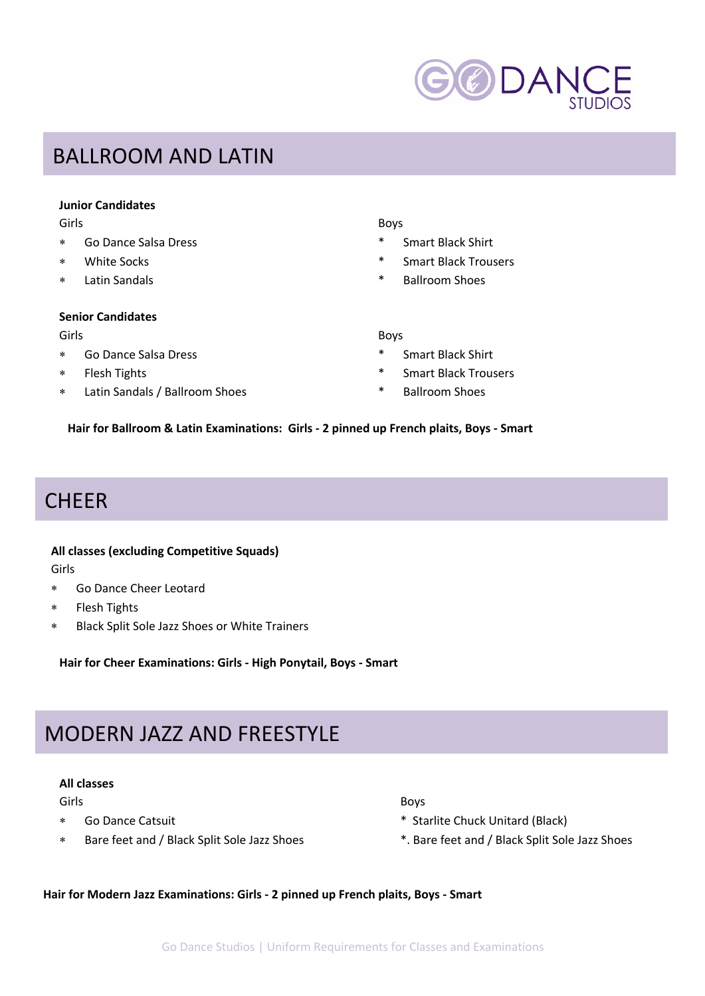

### BALLROOM AND LATIN

#### **Junior Candidates**

- \* Go Dance Salsa Dress \* Smart Black Shirt
- 
- 

#### **Senior Candidates**

#### Girls Boys

- \* Go Dance Salsa Dress \* Smart Black Shirt
- 
- \* Latin Sandals / Ballroom Shoes \* Ballroom Shoes

#### Girls Boys

- 
- \* White Socks \* Smart Black Trousers
- \* Latin Sandals \* Ballroom Shoes

- 
- \* Flesh Tights \* Smart Black Trousers
	-

**Hair for Ballroom & Latin Examinations: Girls - 2 pinned up French plaits, Boys - Smart**

## **CHEER**

#### **All classes (excluding Competitive Squads)**

Girls

- \* Go Dance Cheer Leotard
- \* Flesh Tights
- \* Black Split Sole Jazz Shoes or White Trainers

**Hair for Cheer Examinations: Girls - High Ponytail, Boys - Smart**

## MODERN JAZZ AND FREESTYLE

#### **All classes**

- 
- 
- Girls Boys
	- Go Dance Catsuit **All and Starlight Chuck Unitard (Black)** \* Starlite Chuck Unitard (Black)
	- Bare feet and / Black Split Sole Jazz Shoes \*. Bare feet and / Black Split Sole Jazz Shoes

**Hair for Modern Jazz Examinations: Girls - 2 pinned up French plaits, Boys - Smart**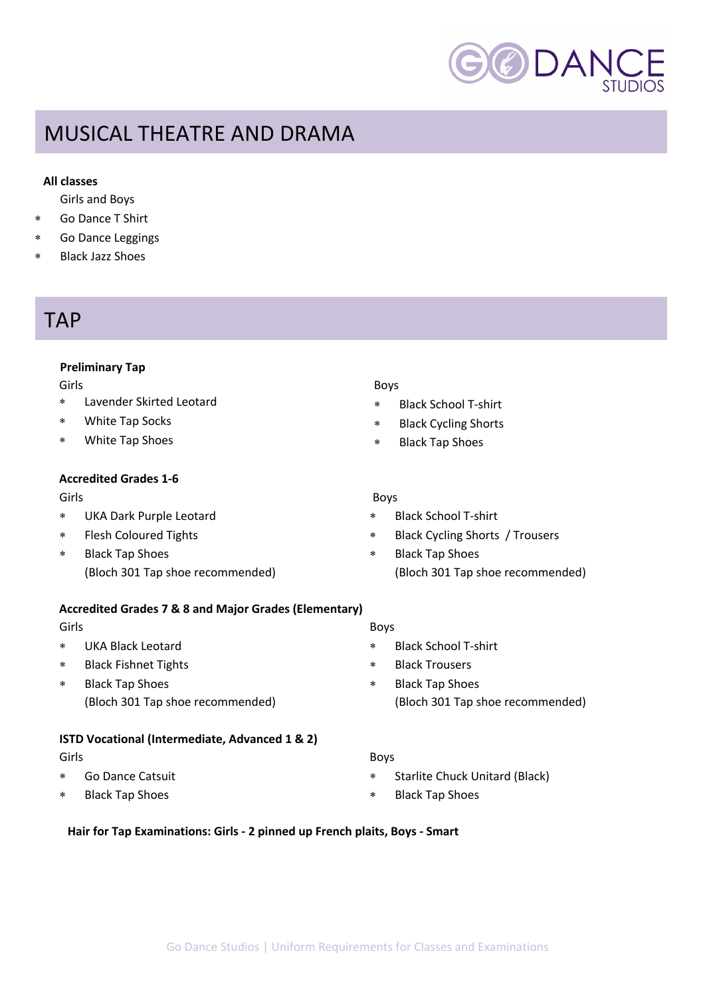

# MUSICAL THEATRE AND DRAMA

#### **All classes**

Girls and Boys

- Go Dance T Shirt
- \* Go Dance Leggings
- Black Jazz Shoes

### **TAP**

#### **Preliminary Tap**

Girls

- Lavender Skirted Leotard
- White Tap Socks
- \* White Tap Shoes

### **Accredited Grades 1-6**

Girls

- \* UKA Dark Purple Leotard
- \* Flesh Coloured Tights
- \* Black Tap Shoes (Bloch 301 Tap shoe recommended)

#### **Accredited Grades 7 & 8 and Major Grades (Elementary)**

#### Girls

- \* UKA Black Leotard
- \* Black Fishnet Tights
- **Black Tap Shoes** (Bloch 301 Tap shoe recommended)

#### **ISTD Vocational (Intermediate, Advanced 1 & 2)**

Girls

- \* Go Dance Catsuit
- **Black Tap Shoes**

#### Boys

- \* Black School T-shirt
- \* Black Cycling Shorts
- \* Black Tap Shoes

#### Boys

- \* Black School T-shirt
- Black Cycling Shorts / Trousers
- \* Black Tap Shoes (Bloch 301 Tap shoe recommended)

#### Boys

- \* Black School T-shirt
- \* Black Trousers
- \* Black Tap Shoes (Bloch 301 Tap shoe recommended)

#### Boys

- \* Starlite Chuck Unitard (Black)
- \* Black Tap Shoes

#### **Hair for Tap Examinations: Girls - 2 pinned up French plaits, Boys - Smart**